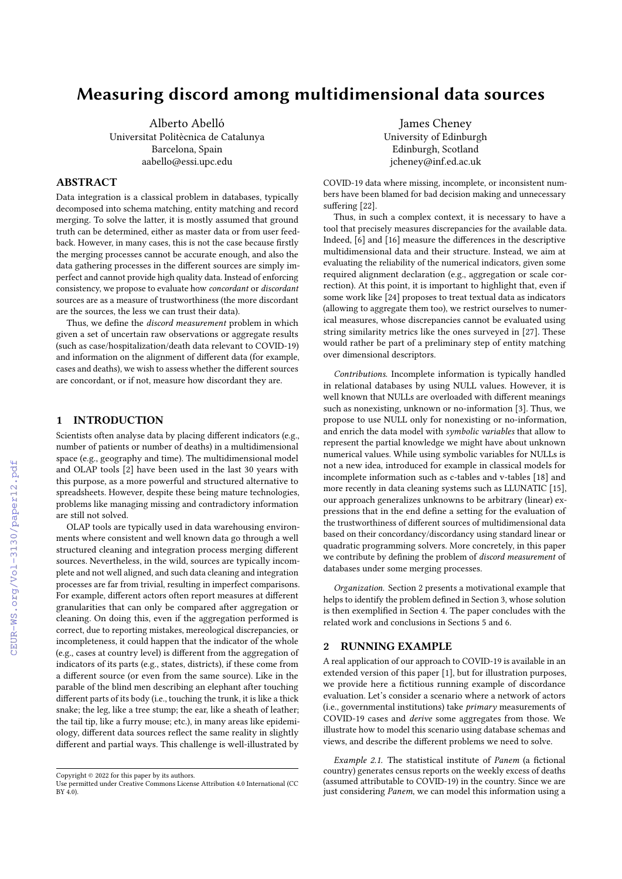# Measuring discord among multidimensional data sources

Alberto Abelló Universitat Politècnica de Catalunya Barcelona, Spain aabello@essi.upc.edu

## ABSTRACT

Data integration is a classical problem in databases, typically decomposed into schema matching, entity matching and record merging. To solve the latter, it is mostly assumed that ground truth can be determined, either as master data or from user feedback. However, in many cases, this is not the case because firstly the merging processes cannot be accurate enough, and also the data gathering processes in the different sources are simply imperfect and cannot provide high quality data. Instead of enforcing consistency, we propose to evaluate how concordant or discordant sources are as a measure of trustworthiness (the more discordant are the sources, the less we can trust their data).

Thus, we define the discord measurement problem in which given a set of uncertain raw observations or aggregate results (such as case/hospitalization/death data relevant to COVID-19) and information on the alignment of different data (for example, cases and deaths), we wish to assess whether the different sources are concordant, or if not, measure how discordant they are.

## 1 INTRODUCTION

Scientists often analyse data by placing different indicators (e.g., number of patients or number of deaths) in a multidimensional space (e.g., geography and time). The multidimensional model and OLAP tools [\[2\]](#page--1-0) have been used in the last 30 years with this purpose, as a more powerful and structured alternative to spreadsheets. However, despite these being mature technologies, problems like managing missing and contradictory information are still not solved.

OLAP tools are typically used in data warehousing environments where consistent and well known data go through a well structured cleaning and integration process merging different sources. Nevertheless, in the wild, sources are typically incomplete and not well aligned, and such data cleaning and integration processes are far from trivial, resulting in imperfect comparisons. For example, different actors often report measures at different granularities that can only be compared after aggregation or cleaning. On doing this, even if the aggregation performed is correct, due to reporting mistakes, mereological discrepancies, or incompleteness, it could happen that the indicator of the whole (e.g., cases at country level) is different from the aggregation of indicators of its parts (e.g., states, districts), if these come from a different source (or even from the same source). Like in the parable of the blind men describing an elephant after touching different parts of its body (i.e., touching the trunk, it is like a thick snake; the leg, like a tree stump; the ear, like a sheath of leather; the tail tip, like a furry mouse; etc.), in many areas like epidemiology, different data sources reflect the same reality in slightly different and partial ways. This challenge is well-illustrated by

James Cheney University of Edinburgh Edinburgh, Scotland jcheney@inf.ed.ac.uk

COVID-19 data where missing, incomplete, or inconsistent numbers have been blamed for bad decision making and unnecessary suffering [\[22\]](#page--1-1).

Thus, in such a complex context, it is necessary to have a tool that precisely measures discrepancies for the available data. Indeed, [\[6\]](#page--1-2) and [\[16\]](#page--1-3) measure the differences in the descriptive multidimensional data and their structure. Instead, we aim at evaluating the reliability of the numerical indicators, given some required alignment declaration (e.g., aggregation or scale correction). At this point, it is important to highlight that, even if some work like [\[24\]](#page--1-4) proposes to treat textual data as indicators (allowing to aggregate them too), we restrict ourselves to numerical measures, whose discrepancies cannot be evaluated using string similarity metrics like the ones surveyed in [\[27\]](#page--1-5). These would rather be part of a preliminary step of entity matching over dimensional descriptors.

Contributions. Incomplete information is typically handled in relational databases by using NULL values. However, it is well known that NULLs are overloaded with different meanings such as nonexisting, unknown or no-information [\[3\]](#page--1-6). Thus, we propose to use NULL only for nonexisting or no-information, and enrich the data model with symbolic variables that allow to represent the partial knowledge we might have about unknown numerical values. While using symbolic variables for NULLs is not a new idea, introduced for example in classical models for incomplete information such as c-tables and v-tables [\[18\]](#page--1-7) and more recently in data cleaning systems such as LLUNATIC [\[15\]](#page--1-8), our approach generalizes unknowns to be arbitrary (linear) expressions that in the end define a setting for the evaluation of the trustworthiness of different sources of multidimensional data based on their concordancy/discordancy using standard linear or quadratic programming solvers. More concretely, in this paper we contribute by defining the problem of discord measurement of databases under some merging processes.

Organization. Section [2](#page-0-0) presents a motivational example that helps to identify the problem defined in Section [3,](#page--1-9) whose solution is then exemplified in Section [4.](#page--1-10) The paper concludes with the related work and conclusions in Sections [5](#page--1-11) and [6.](#page--1-12)

## <span id="page-0-0"></span>2 RUNNING EXAMPLE

A real application of our approach to COVID-19 is available in an extended version of this paper [\[1\]](#page--1-13), but for illustration purposes, we provide here a fictitious running example of discordance evaluation. Let's consider a scenario where a network of actors (i.e., governmental institutions) take primary measurements of COVID-19 cases and derive some aggregates from those. We illustrate how to model this scenario using database schemas and views, and describe the different problems we need to solve.

Example 2.1. The statistical institute of Panem (a fictional country) generates census reports on the weekly excess of deaths (assumed attributable to COVID-19) in the country. Since we are just considering Panem, we can model this information using a

Copyright  $\circledcirc$  2022 for this paper by its authors.

Use permitted under Creative Commons License Attribution 4.0 International (CC BY 4.0).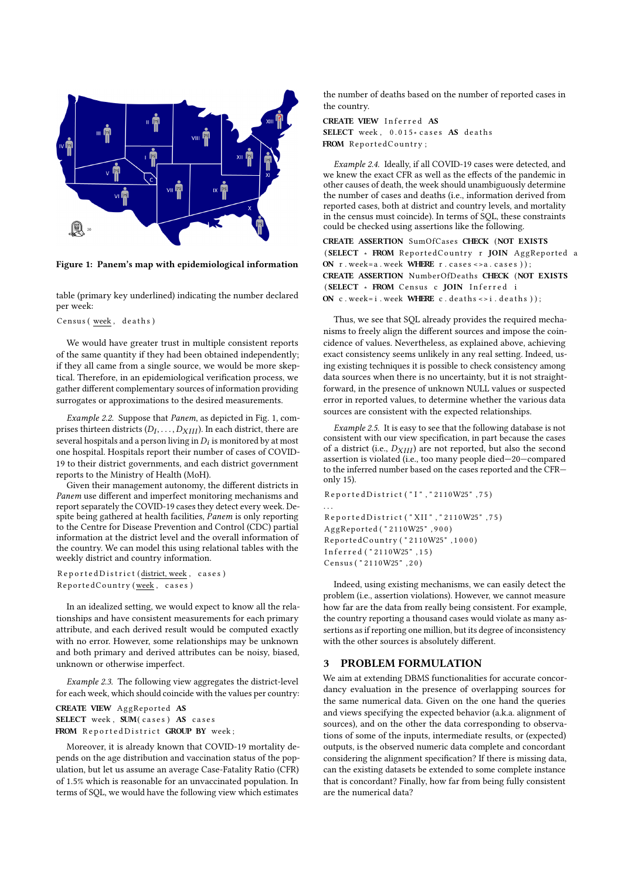<span id="page-1-0"></span>

Figure 1: Panem's map with epidemiological information

table (primary key underlined) indicating the number declared per week:

Census (week, deaths)

We would have greater trust in multiple consistent reports of the same quantity if they had been obtained independently; if they all came from a single source, we would be more skeptical. Therefore, in an epidemiological verification process, we gather different complementary sources of information providing surrogates or approximations to the desired measurements.

Example 2.2. Suppose that Panem, as depicted in Fig. [1,](#page-1-0) comprises thirteen districts  $(D_I, \ldots, D_{XIII})$ . In each district, there are several hospitals and a person living in  $D_i$  is monitored by at most one hospital. Hospitals report their number of cases of COVID-19 to their district governments, and each district government reports to the Ministry of Health (MoH).

Given their management autonomy, the different districts in Panem use different and imperfect monitoring mechanisms and report separately the COVID-19 cases they detect every week. Despite being gathered at health facilities, Panem is only reporting to the Centre for Disease Prevention and Control (CDC) partial information at the district level and the overall information of the country. We can model this using relational tables with the weekly district and country information.

Reported District (district, week, cases) ReportedCountry (week, cases)

In an idealized setting, we would expect to know all the relationships and have consistent measurements for each primary attribute, and each derived result would be computed exactly with no error. However, some relationships may be unknown and both primary and derived attributes can be noisy, biased, unknown or otherwise imperfect.

Example 2.3. The following view aggregates the district-level for each week, which should coincide with the values per country:

```
CREATE VIEW AggReported AS
SELECT week, SUM(cases) AS cases
FROM Reported District GROUP BY week;
```
Moreover, it is already known that COVID-19 mortality depends on the age distribution and vaccination status of the population, but let us assume an average Case-Fatality Ratio (CFR) of 1.5% which is reasonable for an unvaccinated population. In terms of SQL, we would have the following view which estimates

the number of deaths based on the number of reported cases in the country.

CREATE VIEW Inferred AS SELECT week,  $0.015*$  cases AS deaths FROM ReportedCountry;

<span id="page-1-1"></span>Example 2.4. Ideally, if all COVID-19 cases were detected, and we knew the exact CFR as well as the effects of the pandemic in other causes of death, the week should unambiguously determine the number of cases and deaths (i.e., information derived from reported cases, both at district and country levels, and mortality in the census must coincide). In terms of SQL, these constraints could be checked using assertions like the following.

CREATE ASSERTION SumOfCases CHECK (NOT EXISTS (SELECT \* FROM ReportedCountry r JOIN AggReported a ON  $r$ . week=a. week WHERE  $r$ . cases <>a. cases ) ); CREATE ASSERTION NumberOfDeaths CHECK (NOT EXISTS (SELECT \* FROM Census c JOIN Inferred i ON  $c$ . week= i. week WHERE  $c$ . deaths <> i. deaths ) );

Thus, we see that SQL already provides the required mechanisms to freely align the different sources and impose the coincidence of values. Nevertheless, as explained above, achieving exact consistency seems unlikely in any real setting. Indeed, using existing techniques it is possible to check consistency among data sources when there is no uncertainty, but it is not straightforward, in the presence of unknown NULL values or suspected error in reported values, to determine whether the various data sources are consistent with the expected relationships.

Example 2.5. It is easy to see that the following database is not consistent with our view specification, in part because the cases of a district (i.e.,  $D_{XIII}$ ) are not reported, but also the second assertion is violated (i.e., too many people died—20—compared to the inferred number based on the cases reported and the CFR only 15).

```
Reported District ("I", "2110W25", 75)
. . .
R e p o r t e d D i s t r i c t ( " XII " , " 2110W25 " , 7 5 )
A g gRepo r ted ( " 2110W25 " , 9 0 0 )
ReportedCountry ("2110W25", 1000)
Inferred ("2110W25", 15)
Census ( " 2110W25 " , 2 0 )
```
Indeed, using existing mechanisms, we can easily detect the problem (i.e., assertion violations). However, we cannot measure how far are the data from really being consistent. For example, the country reporting a thousand cases would violate as many assertions as if reporting one million, but its degree of inconsistency with the other sources is absolutely different.

## 3 PROBLEM FORMULATION

We aim at extending DBMS functionalities for accurate concordancy evaluation in the presence of overlapping sources for the same numerical data. Given on the one hand the queries and views specifying the expected behavior (a.k.a. alignment of sources), and on the other the data corresponding to observations of some of the inputs, intermediate results, or (expected) outputs, is the observed numeric data complete and concordant considering the alignment specification? If there is missing data, can the existing datasets be extended to some complete instance that is concordant? Finally, how far from being fully consistent are the numerical data?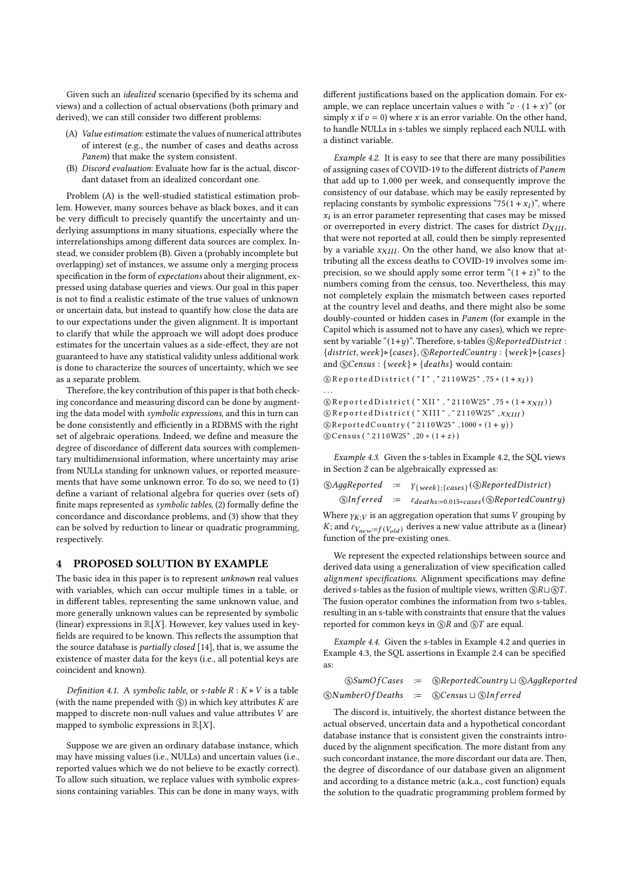Given such an idealized scenario (specified by its schema and views) and a collection of actual observations (both primary and derived), we can still consider two different problems:

- <span id="page-2-0"></span>(A) Value estimation: estimate the values of numerical attributes of interest (e.g., the number of cases and deaths across Panem) that make the system consistent.
- <span id="page-2-1"></span>(B) Discord evaluation: Evaluate how far is the actual, discordant dataset from an idealized concordant one.

Problem [\(A\)](#page-2-0) is the well-studied statistical estimation problem. However, many sources behave as black boxes, and it can be very difficult to precisely quantify the uncertainty and underlying assumptions in many situations, especially where the interrelationships among different data sources are complex. Instead, we consider problem [\(B\).](#page-2-1) Given a (probably incomplete but overlapping) set of instances, we assume only a merging process specification in the form of expectations about their alignment, expressed using database queries and views. Our goal in this paper is not to find a realistic estimate of the true values of unknown or uncertain data, but instead to quantify how close the data are to our expectations under the given alignment. It is important to clarify that while the approach we will adopt does produce estimates for the uncertain values as a side-effect, they are not guaranteed to have any statistical validity unless additional work is done to characterize the sources of uncertainty, which we see as a separate problem.

Therefore, the key contribution of this paper is that both checking concordance and measuring discord can be done by augmenting the data model with symbolic expressions, and this in turn can be done consistently and efficiently in a RDBMS with the right set of algebraic operations. Indeed, we define and measure the degree of discordance of different data sources with complementary multidimensional information, where uncertainty may arise from NULLs standing for unknown values, or reported measurements that have some unknown error. To do so, we need to (1) define a variant of relational algebra for queries over (sets of) finite maps represented as symbolic tables, (2) formally define the concordance and discordance problems, and (3) show that they can be solved by reduction to linear or quadratic programming, respectively.

#### 4 PROPOSED SOLUTION BY EXAMPLE

The basic idea in this paper is to represent unknown real values with variables, which can occur multiple times in a table, or in different tables, representing the same unknown value, and more generally unknown values can be represented by symbolic (linear) expressions in  $\mathbb{R}[X]$ . However, key values used in keyfields are required to be known. This reflects the assumption that the source database is partially closed [\[14\]](#page-4-0), that is, we assume the existence of master data for the keys (i.e., all potential keys are coincident and known).

Definition 4.1. A symbolic table, or s-table  $R : K \triangleright V$  is a table (with the name prepended with  $\circledS$ ) in which key attributes  $K$  are mapped to discrete non-null values and value attributes  $V$  are mapped to symbolic expressions in  $\mathbb{R}[X]$ .

Suppose we are given an ordinary database instance, which may have missing values (i.e., NULLs) and uncertain values (i.e., reported values which we do not believe to be exactly correct). To allow such situation, we replace values with symbolic expressions containing variables. This can be done in many ways, with

different justifications based on the application domain. For example, we can replace uncertain values  $v$  with " $v \cdot (1 + x)$ " (or simply x if  $v = 0$ ) where x is an error variable. On the other hand, to handle NULLs in s-tables we simply replaced each NULL with a distinct variable.

<span id="page-2-2"></span>Example 4.2. It is easy to see that there are many possibilities of assigning cases of COVID-19 to the different districts of Panem that add up to 1,000 per week, and consequently improve the consistency of our database, which may be easily represented by replacing constants by symbolic expressions "75(1 +  $x_i$ )", where  $x_i$  is an error parameter representing that cases may be missed or overreported in every district. The cases for district  $D_{XIII}$ , that were not reported at all, could then be simply represented by a variable  $x_{XIII}$ . On the other hand, we also know that attributing all the excess deaths to COVID-19 involves some imprecision, so we should apply some error term " $(1 + z)$ " to the numbers coming from the census, too. Nevertheless, this may not completely explain the mismatch between cases reported at the country level and deaths, and there might also be some doubly-counted or hidden cases in *Panem* (for example in the Capitol which is assumed not to have any cases), which we represent by variable " $(1+y)$ ". Therefore, s-tables  $\circledS$  *Reported District* :  ${district, week} \rightarrow {cases},$  (SReported Country : {week} $\triangleright$  {cases} and  $\mathcal{S}$ Census : {week}  $\triangleright$  {deaths} would contain:

```
(\text{S}) Reported District ("I","2110W25", 75 *(1 + x_I))
. . .
(\text{\textcircled{S}} Reported District ("XII", "2110W25", 75 *(1 + x_{XII}))
(\S Reported District ("XIII", "2110W25",x_{XIII})
```

```
\circ Reported Country ("2110W25", 1000 * (1+ y))
```
 $\odot$ Census ("2110W25", 20 \* (1+z))

<span id="page-2-3"></span>Example 4.3. Given the s-tables in Example [4.2,](#page-2-2) the SQL views in Section [2](#page--1-14) can be algebraically expressed as:

|  | $\textcircled{SAggReported} := \gamma_{\{week\}; \{cases\}} (\textcircled{SReportedDistrict})$ |
|--|------------------------------------------------------------------------------------------------|
|  | $\circledS Inferred := \varepsilon_{deaths:=0.015*cases} (\circledS ReportedCountry)$          |

Where  $\gamma_{K}$  is an aggregation operation that sums V grouping by  $K;$  and  $\varepsilon_{V_{\textit{new}}:=f(V_{\textit{old}})}$  derives a new value attribute as a (linear) function of the pre-existing ones.

We represent the expected relationships between source and derived data using a generalization of view specification called alignment specifications. Alignment specifications may define derived s-tables as the fusion of multiple views, written  $\circledR \sqcup \circledS T$ . The fusion operator combines the information from two s-tables, resulting in an s-table with constraints that ensure that the values reported for common keys in  $\mathbb{R}$  and  $\mathbb{S}$  are equal.

<span id="page-2-4"></span>Example 4.4. Given the s-tables in Example [4.2](#page-2-2) and queries in Example [4.3,](#page-2-3) the SQL assertions in Example [2.4](#page-1-1) can be specified as:

|  | $\circ$ SumOfCases := $\circ$ ReportedCountry $\sqcup \circledS$ AggReported |
|--|------------------------------------------------------------------------------|
|  | $\circledS$ NumberOfDeaths := $\circledS$ Census $\sqcup \circledS$ Inferred |

The discord is, intuitively, the shortest distance between the actual observed, uncertain data and a hypothetical concordant database instance that is consistent given the constraints introduced by the alignment specification. The more distant from any such concordant instance, the more discordant our data are. Then, the degree of discordance of our database given an alignment and according to a distance metric (a.k.a., cost function) equals the solution to the quadratic programming problem formed by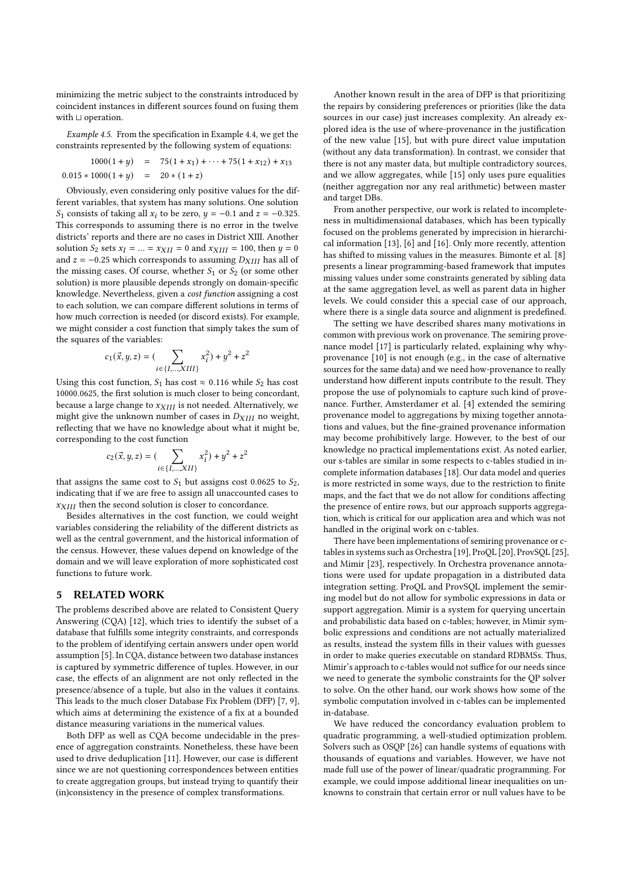minimizing the metric subject to the constraints introduced by coincident instances in different sources found on fusing them with ⊔ operation.

Example 4.5. From the specification in Example [4.4,](#page-2-4) we get the constraints represented by the following system of equations:

$$
1000(1+y) = 75(1+x_1) + \dots + 75(1+x_{12}) + x_{13}
$$
  

$$
0.015 * 1000(1+y) = 20 * (1+z)
$$

Obviously, even considering only positive values for the different variables, that system has many solutions. One solution  $S_1$  consists of taking all  $x_i$  to be zero,  $y = -0.1$  and  $z = -0.325$ . This corresponds to assuming there is no error in the twelve districts' reports and there are no cases in District XIII. Another solution  $S_2$  sets  $x_I = ... = x_{XII} = 0$  and  $x_{XIII} = 100$ , then  $y = 0$ and  $z = -0.25$  which corresponds to assuming  $D_{XIII}$  has all of the missing cases. Of course, whether  $S_1$  or  $S_2$  (or some other solution) is more plausible depends strongly on domain-specific knowledge. Nevertheless, given a cost function assigning a cost to each solution, we can compare different solutions in terms of how much correction is needed (or discord exists). For example, we might consider a cost function that simply takes the sum of the squares of the variables:

$$
c_1(\vec{x},y,z) = (\sum_{i \in \{I,...,XIII\}} x_i^2) + y^2 + z^2
$$

Using this cost function,  $S_1$  has cost  $\approx 0.116$  while  $S_2$  has cost 10000.0625, the first solution is much closer to being concordant, because a large change to  $x_{XIII}$  is not needed. Alternatively, we might give the unknown number of cases in  $D_{XIII}$  no weight, reflecting that we have no knowledge about what it might be, corresponding to the cost function

$$
c_2(\vec{x}, y, z) = \left(\sum_{i \in \{I, ..., XII\}} x_i^2\right) + y^2 + z^2
$$

that assigns the same cost to  $S_1$  but assigns cost 0.0625 to  $S_2$ , indicating that if we are free to assign all unaccounted cases to  $x_{XIII}$  then the second solution is closer to concordance.

Besides alternatives in the cost function, we could weight variables considering the reliability of the different districts as well as the central government, and the historical information of the census. However, these values depend on knowledge of the domain and we will leave exploration of more sophisticated cost functions to future work.

#### 5 RELATED WORK

The problems described above are related to Consistent Query Answering (CQA) [\[12\]](#page-4-1), which tries to identify the subset of a database that fulfills some integrity constraints, and corresponds to the problem of identifying certain answers under open world assumption [\[5\]](#page-4-2). In CQA, distance between two database instances is captured by symmetric difference of tuples. However, in our case, the effects of an alignment are not only reflected in the presence/absence of a tuple, but also in the values it contains. This leads to the much closer Database Fix Problem (DFP) [\[7,](#page-4-3) [9\]](#page-4-4), which aims at determining the existence of a fix at a bounded distance measuring variations in the numerical values.

Both DFP as well as CQA become undecidable in the presence of aggregation constraints. Nonetheless, these have been used to drive deduplication [\[11\]](#page-4-5). However, our case is different since we are not questioning correspondences between entities to create aggregation groups, but instead trying to quantify their (in)consistency in the presence of complex transformations.

Another known result in the area of DFP is that prioritizing the repairs by considering preferences or priorities (like the data sources in our case) just increases complexity. An already explored idea is the use of where-provenance in the justification of the new value [\[15\]](#page-4-6), but with pure direct value imputation (without any data transformation). In contrast, we consider that there is not any master data, but multiple contradictory sources, and we allow aggregates, while [\[15\]](#page-4-6) only uses pure equalities (neither aggregation nor any real arithmetic) between master and target DBs.

From another perspective, our work is related to incompleteness in multidimensional databases, which has been typically focused on the problems generated by imprecision in hierarchical information [\[13\]](#page-4-7), [\[6\]](#page-4-8) and [\[16\]](#page-4-9). Only more recently, attention has shifted to missing values in the measures. Bimonte et al. [\[8\]](#page-4-10) presents a linear programming-based framework that imputes missing values under some constraints generated by sibling data at the same aggregation level, as well as parent data in higher levels. We could consider this a special case of our approach, where there is a single data source and alignment is predefined.

The setting we have described shares many motivations in common with previous work on provenance. The semiring provenance model [\[17\]](#page-4-11) is particularly related, explaining why whyprovenance [\[10\]](#page-4-12) is not enough (e.g., in the case of alternative sources for the same data) and we need how-provenance to really understand how different inputs contribute to the result. They propose the use of polynomials to capture such kind of provenance. Further, Amsterdamer et al. [\[4\]](#page-4-13) extended the semiring provenance model to aggregations by mixing together annotations and values, but the fine-grained provenance information may become prohibitively large. However, to the best of our knowledge no practical implementations exist. As noted earlier, our s-tables are similar in some respects to c-tables studied in incomplete information databases [\[18\]](#page-4-14). Our data model and queries is more restricted in some ways, due to the restriction to finite maps, and the fact that we do not allow for conditions affecting the presence of entire rows, but our approach supports aggregation, which is critical for our application area and which was not handled in the original work on c-tables.

There have been implementations of semiring provenance or ctables in systems such as Orchestra [\[19\]](#page-4-15), ProQL [\[20\]](#page-4-16), ProvSQL [\[25\]](#page-4-17), and Mimir [\[23\]](#page-4-18), respectively. In Orchestra provenance annotations were used for update propagation in a distributed data integration setting. ProQL and ProvSQL implement the semiring model but do not allow for symbolic expressions in data or support aggregation. Mimir is a system for querying uncertain and probabilistic data based on c-tables; however, in Mimir symbolic expressions and conditions are not actually materialized as results, instead the system fills in their values with guesses in order to make queries executable on standard RDBMSs. Thus, Mimir's approach to c-tables would not suffice for our needs since we need to generate the symbolic constraints for the QP solver to solve. On the other hand, our work shows how some of the symbolic computation involved in c-tables can be implemented in-database.

We have reduced the concordancy evaluation problem to quadratic programming, a well-studied optimization problem. Solvers such as OSQP [\[26\]](#page-4-19) can handle systems of equations with thousands of equations and variables. However, we have not made full use of the power of linear/quadratic programming. For example, we could impose additional linear inequalities on unknowns to constrain that certain error or null values have to be